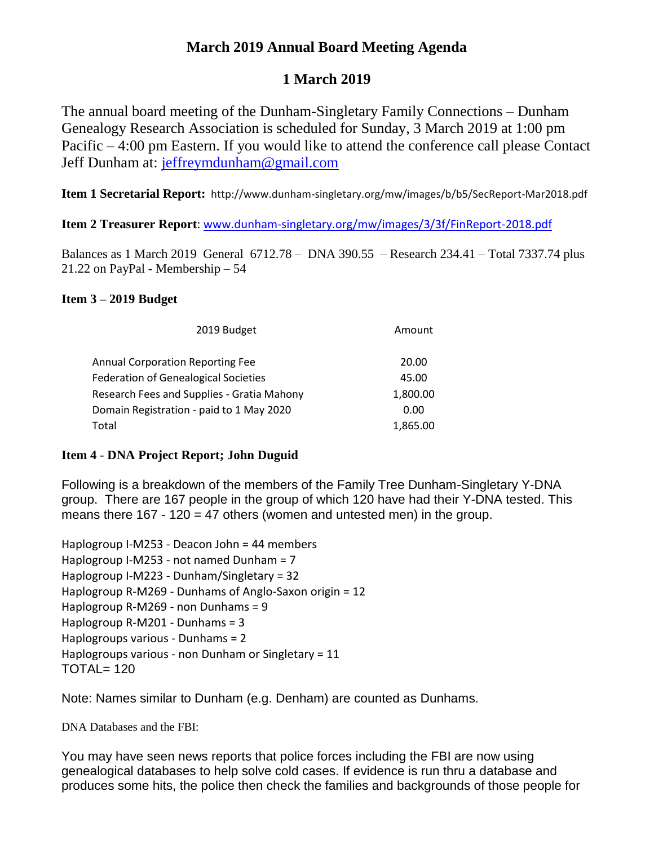# **March 2019 Annual Board Meeting Agenda**

# **1 March 2019**

The annual board meeting of the Dunham-Singletary Family Connections – Dunham Genealogy Research Association is scheduled for Sunday, 3 March 2019 at 1:00 pm Pacific – 4:00 pm Eastern. If you would like to attend the conference call please Contact Jeff Dunham at: [jeffreymdunham@gmail.com](mailto:jeffreymdunham@gmail.com)

**Item 1 Secretarial Report:** http://www.dunham-singletary.org/mw/images/b/b5/SecReport-Mar2018.pdf

**Item 2 Treasurer Report**: [www.dunham-singletary.org/mw/images/3/3f/FinReport-2018.pdf](http://www.dunham-singletary.org/mw/images/3/3f/FinReport-2018.pdf)

Balances as 1 March 2019 General 6712.78 – DNA 390.55 – Research 234.41 – Total 7337.74 plus 21.22 on PayPal - Membership – 54

# **Item 3 – 2019 Budget**

| 2019 Budget                                 | Amount   |
|---------------------------------------------|----------|
| <b>Annual Corporation Reporting Fee</b>     | 20.00    |
| <b>Federation of Genealogical Societies</b> | 45.00    |
| Research Fees and Supplies - Gratia Mahony  | 1,800.00 |
| Domain Registration - paid to 1 May 2020    | 0.00     |
| Total                                       | 1,865.00 |

# **Item 4** - **DNA Project Report; John Duguid**

Following is a breakdown of the members of the Family Tree Dunham-Singletary Y-DNA group. There are 167 people in the group of which 120 have had their Y-DNA tested. This means there  $167 - 120 = 47$  others (women and untested men) in the group.

Haplogroup I-M253 - Deacon John = 44 members Haplogroup I-M253 - not named Dunham = 7 Haplogroup I-M223 - Dunham/Singletary = 32 Haplogroup R-M269 - Dunhams of Anglo-Saxon origin = 12 Haplogroup R-M269 - non Dunhams = 9 Haplogroup R-M201 - Dunhams = 3 Haplogroups various - Dunhams = 2 Haplogroups various - non Dunham or Singletary = 11 TOTAL= 120

Note: Names similar to Dunham (e.g. Denham) are counted as Dunhams.

DNA Databases and the FBI:

You may have seen news reports that police forces including the FBI are now using genealogical databases to help solve cold cases. If evidence is run thru a database and produces some hits, the police then check the families and backgrounds of those people for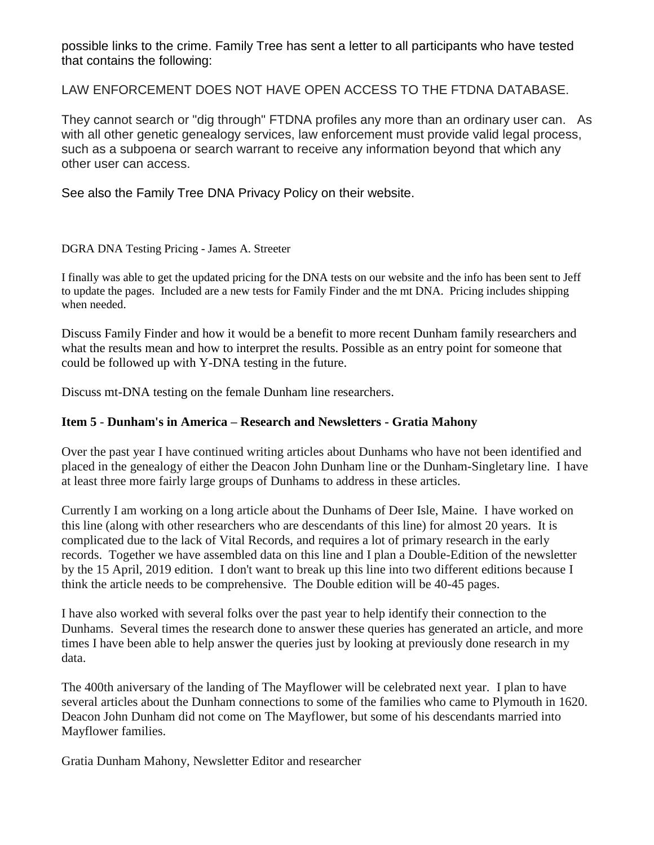possible links to the crime. Family Tree has sent a letter to all participants who have tested that contains the following:

LAW ENFORCEMENT DOES NOT HAVE OPEN ACCESS TO THE FTDNA DATABASE.

They cannot search or "dig through" FTDNA profiles any more than an ordinary user can. As with all other genetic genealogy services, law enforcement must provide valid legal process, such as a subpoena or search warrant to receive any information beyond that which any other user can access.

See also the Family Tree DNA Privacy Policy on their website.

## DGRA DNA Testing Pricing - James A. Streeter

I finally was able to get the updated pricing for the DNA tests on our website and the info has been sent to Jeff to update the pages. Included are a new tests for Family Finder and the mt DNA. Pricing includes shipping when needed.

Discuss Family Finder and how it would be a benefit to more recent Dunham family researchers and what the results mean and how to interpret the results. Possible as an entry point for someone that could be followed up with Y-DNA testing in the future.

Discuss mt-DNA testing on the female Dunham line researchers.

## **Item 5** - **Dunham's in America – Research and Newsletters - Gratia Mahony**

Over the past year I have continued writing articles about Dunhams who have not been identified and placed in the genealogy of either the Deacon John Dunham line or the Dunham-Singletary line. I have at least three more fairly large groups of Dunhams to address in these articles.

Currently I am working on a long article about the Dunhams of Deer Isle, Maine. I have worked on this line (along with other researchers who are descendants of this line) for almost 20 years. It is complicated due to the lack of Vital Records, and requires a lot of primary research in the early records. Together we have assembled data on this line and I plan a Double-Edition of the newsletter by the 15 April, 2019 edition. I don't want to break up this line into two different editions because I think the article needs to be comprehensive. The Double edition will be 40-45 pages.

I have also worked with several folks over the past year to help identify their connection to the Dunhams. Several times the research done to answer these queries has generated an article, and more times I have been able to help answer the queries just by looking at previously done research in my data.

The 400th aniversary of the landing of The Mayflower will be celebrated next year. I plan to have several articles about the Dunham connections to some of the families who came to Plymouth in 1620. Deacon John Dunham did not come on The Mayflower, but some of his descendants married into Mayflower families.

Gratia Dunham Mahony, Newsletter Editor and researcher